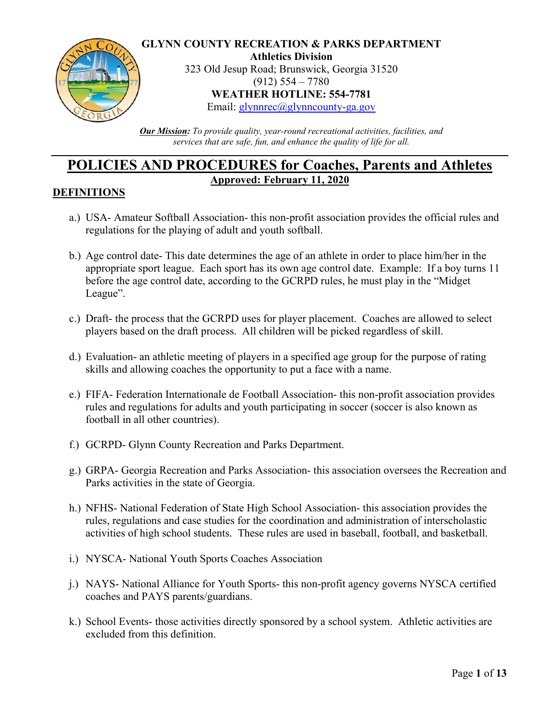

**GLYNN COUNTY RECREATION & PARKS DEPARTMENT Athletics Division**

323 Old Jesup Road; Brunswick, Georgia 31520 (912) 554 – 7780 **WEATHER HOTLINE: 554-7781**

Email: [glynnrec@glynncounty-ga.gov](mailto:glynnrec@glynncounty-ga.gov)

*Our Mission: To provide quality, year-round recreational activities, facilities, and services that are safe, fun, and enhance the quality of life for all.*

# **POLICIES AND PROCEDURES for Coaches, Parents and Athletes Approved: February 11, 2020**

#### **DEFINITIONS**

- a.) USA- Amateur Softball Association- this non-profit association provides the official rules and regulations for the playing of adult and youth softball.
- b.) Age control date- This date determines the age of an athlete in order to place him/her in the appropriate sport league. Each sport has its own age control date. Example: If a boy turns 11 before the age control date, according to the GCRPD rules, he must play in the "Midget League".
- c.) Draft- the process that the GCRPD uses for player placement. Coaches are allowed to select players based on the draft process. All children will be picked regardless of skill.
- d.) Evaluation- an athletic meeting of players in a specified age group for the purpose of rating skills and allowing coaches the opportunity to put a face with a name.
- e.) FIFA- Federation Internationale de Football Association- this non-profit association provides rules and regulations for adults and youth participating in soccer (soccer is also known as football in all other countries).
- f.) GCRPD- Glynn County Recreation and Parks Department.
- g.) GRPA- Georgia Recreation and Parks Association- this association oversees the Recreation and Parks activities in the state of Georgia.
- h.) NFHS- National Federation of State High School Association- this association provides the rules, regulations and case studies for the coordination and administration of interscholastic activities of high school students. These rules are used in baseball, football, and basketball.
- i.) NYSCA- National Youth Sports Coaches Association
- j.) NAYS- National Alliance for Youth Sports- this non-profit agency governs NYSCA certified coaches and PAYS parents/guardians.
- k.) School Events- those activities directly sponsored by a school system. Athletic activities are excluded from this definition.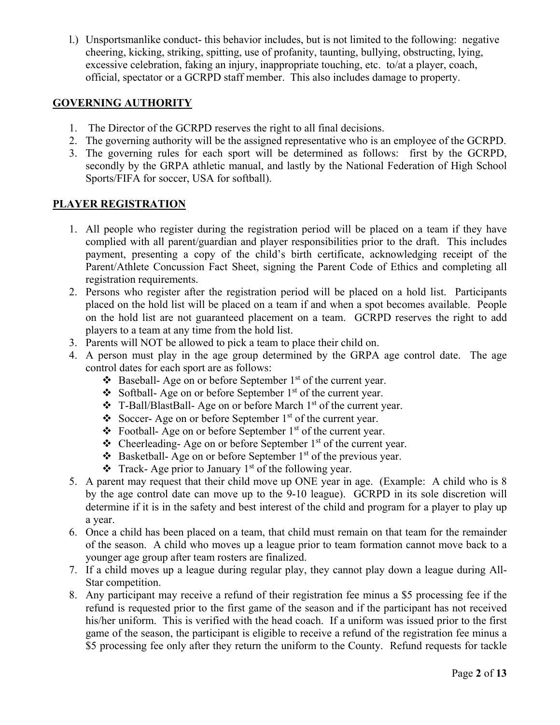l.) Unsportsmanlike conduct- this behavior includes, but is not limited to the following: negative cheering, kicking, striking, spitting, use of profanity, taunting, bullying, obstructing, lying, excessive celebration, faking an injury, inappropriate touching, etc. to/at a player, coach, official, spectator or a GCRPD staff member. This also includes damage to property.

# **GOVERNING AUTHORITY**

- 1. The Director of the GCRPD reserves the right to all final decisions.
- 2. The governing authority will be the assigned representative who is an employee of the GCRPD.
- 3. The governing rules for each sport will be determined as follows: first by the GCRPD, secondly by the GRPA athletic manual, and lastly by the National Federation of High School Sports/FIFA for soccer, USA for softball).

#### **PLAYER REGISTRATION**

- 1. All people who register during the registration period will be placed on a team if they have complied with all parent/guardian and player responsibilities prior to the draft. This includes payment, presenting a copy of the child's birth certificate, acknowledging receipt of the Parent/Athlete Concussion Fact Sheet, signing the Parent Code of Ethics and completing all registration requirements.
- 2. Persons who register after the registration period will be placed on a hold list. Participants placed on the hold list will be placed on a team if and when a spot becomes available. People on the hold list are not guaranteed placement on a team. GCRPD reserves the right to add players to a team at any time from the hold list.
- 3. Parents will NOT be allowed to pick a team to place their child on.
- 4. A person must play in the age group determined by the GRPA age control date. The age control dates for each sport are as follows:
	- $\triangleleft$  Baseball- Age on or before September 1<sup>st</sup> of the current year.
	- $\triangle$  Softball- Age on or before September 1<sup>st</sup> of the current year.
	- $\div$  T-Ball/BlastBall- Age on or before March 1<sup>st</sup> of the current year.
	- Soccer- Age on or before September  $1<sup>st</sup>$  of the current year.
	- $\triangle$  Football- Age on or before September 1<sup>st</sup> of the current year.
	- $\triangle$  Cheerleading- Age on or before September 1<sup>st</sup> of the current year.
	- $\triangle$  Basketball- Age on or before September 1<sup>st</sup> of the previous year.
	- $\bullet$  Track- Age prior to January 1<sup>st</sup> of the following year.
- 5. A parent may request that their child move up ONE year in age. (Example: A child who is 8 by the age control date can move up to the 9-10 league). GCRPD in its sole discretion will determine if it is in the safety and best interest of the child and program for a player to play up a year.
- 6. Once a child has been placed on a team, that child must remain on that team for the remainder of the season. A child who moves up a league prior to team formation cannot move back to a younger age group after team rosters are finalized.
- 7. If a child moves up a league during regular play, they cannot play down a league during All-Star competition.
- 8. Any participant may receive a refund of their registration fee minus a \$5 processing fee if the refund is requested prior to the first game of the season and if the participant has not received his/her uniform. This is verified with the head coach. If a uniform was issued prior to the first game of the season, the participant is eligible to receive a refund of the registration fee minus a \$5 processing fee only after they return the uniform to the County. Refund requests for tackle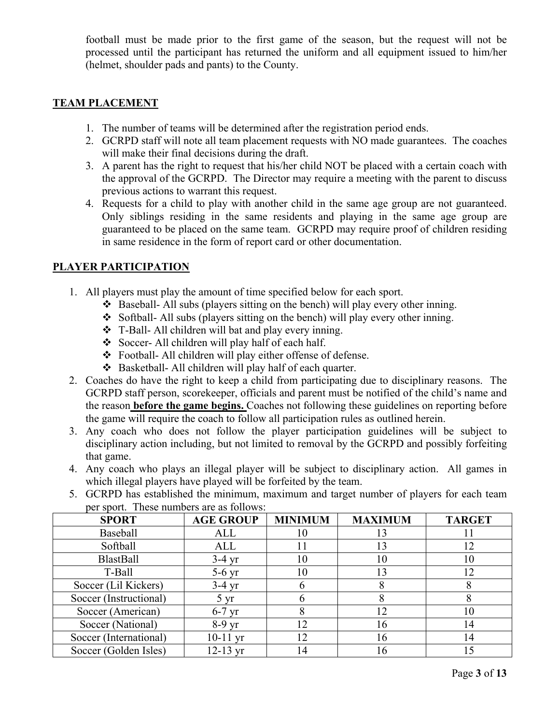football must be made prior to the first game of the season, but the request will not be processed until the participant has returned the uniform and all equipment issued to him/her (helmet, shoulder pads and pants) to the County.

#### **TEAM PLACEMENT**

- 1. The number of teams will be determined after the registration period ends.
- 2. GCRPD staff will note all team placement requests with NO made guarantees. The coaches will make their final decisions during the draft.
- 3. A parent has the right to request that his/her child NOT be placed with a certain coach with the approval of the GCRPD. The Director may require a meeting with the parent to discuss previous actions to warrant this request.
- 4. Requests for a child to play with another child in the same age group are not guaranteed. Only siblings residing in the same residents and playing in the same age group are guaranteed to be placed on the same team. GCRPD may require proof of children residing in same residence in the form of report card or other documentation.

### **PLAYER PARTICIPATION**

- 1. All players must play the amount of time specified below for each sport.
	- Baseball- All subs (players sitting on the bench) will play every other inning.
	- Softball- All subs (players sitting on the bench) will play every other inning.
	- T-Ball- All children will bat and play every inning.
	- Soccer- All children will play half of each half.
	- Football- All children will play either offense of defense.
	- Basketball- All children will play half of each quarter.
- 2. Coaches do have the right to keep a child from participating due to disciplinary reasons. The GCRPD staff person, scorekeeper, officials and parent must be notified of the child's name and the reason **before the game begins.** Coaches not following these guidelines on reporting before the game will require the coach to follow all participation rules as outlined herein.
- 3. Any coach who does not follow the player participation guidelines will be subject to disciplinary action including, but not limited to removal by the GCRPD and possibly forfeiting that game.
- 4. Any coach who plays an illegal player will be subject to disciplinary action. All games in which illegal players have played will be forfeited by the team.
- 5. GCRPD has established the minimum, maximum and target number of players for each team per sport. These numbers are as follows:

| <b>SPORT</b>           | <b>AGE GROUP</b> | <b>MINIMUM</b> | <b>MAXIMUM</b> | <b>TARGET</b> |
|------------------------|------------------|----------------|----------------|---------------|
| <b>Baseball</b>        | ALL              | 10             | 13             |               |
| Softball               | ALL              |                | 13             | 12            |
| <b>BlastBall</b>       | $3-4$ yr         | 10             | 10             | 10            |
| T-Ball                 | $5-6$ yr         | 10             | 13             | 12            |
| Soccer (Lil Kickers)   | $3-4$ yr         |                |                |               |
| Soccer (Instructional) | $5 \text{ yr}$   |                |                |               |
| Soccer (American)      | $6-7$ yr         |                | 12             | 10            |
| Soccer (National)      | $8-9$ yr         | 12             | 16             | 14            |
| Soccer (International) | $10-11$ yr       | 12             | 16             | 14            |
| Soccer (Golden Isles)  | $12-13$ yr       |                | 16             |               |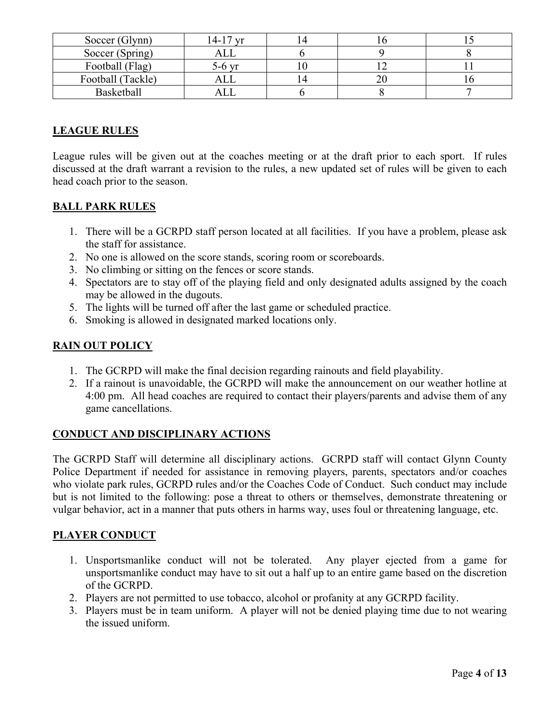| Soccer (Glynn)    | $14-17$<br>V <sub>T</sub> |  |  |
|-------------------|---------------------------|--|--|
| Soccer (Spring)   |                           |  |  |
| Football (Flag)   | 5-6 vr                    |  |  |
| Football (Tackle) |                           |  |  |
| Basketball        |                           |  |  |

# **LEAGUE RULES**

League rules will be given out at the coaches meeting or at the draft prior to each sport. If rules discussed at the draft warrant a revision to the rules, a new updated set of rules will be given to each head coach prior to the season.

# **BALL PARK RULES**

- 1. There will be a GCRPD staff person located at all facilities. If you have a problem, please ask the staff for assistance.
- 2. No one is allowed on the score stands, scoring room or scoreboards.
- 3. No climbing or sitting on the fences or score stands.
- 4. Spectators are to stay off of the playing field and only designated adults assigned by the coach may be allowed in the dugouts.
- 5. The lights will be turned off after the last game or scheduled practice.
- 6. Smoking is allowed in designated marked locations only.

### **RAIN OUT POLICY**

- 1. The GCRPD will make the final decision regarding rainouts and field playability.
- 2. If a rainout is unavoidable, the GCRPD will make the announcement on our weather hotline at 4:00 pm. All head coaches are required to contact their players/parents and advise them of any game cancellations.

### **CONDUCT AND DISCIPLINARY ACTIONS**

The GCRPD Staff will determine all disciplinary actions. GCRPD staff will contact Glynn County Police Department if needed for assistance in removing players, parents, spectators and/or coaches who violate park rules, GCRPD rules and/or the Coaches Code of Conduct. Such conduct may include but is not limited to the following: pose a threat to others or themselves, demonstrate threatening or vulgar behavior, act in a manner that puts others in harms way, uses foul or threatening language, etc.

### **PLAYER CONDUCT**

- 1. Unsportsmanlike conduct will not be tolerated. Any player ejected from a game for unsportsmanlike conduct may have to sit out a half up to an entire game based on the discretion of the GCRPD.
- 2. Players are not permitted to use tobacco, alcohol or profanity at any GCRPD facility.
- 3. Players must be in team uniform. A player will not be denied playing time due to not wearing the issued uniform.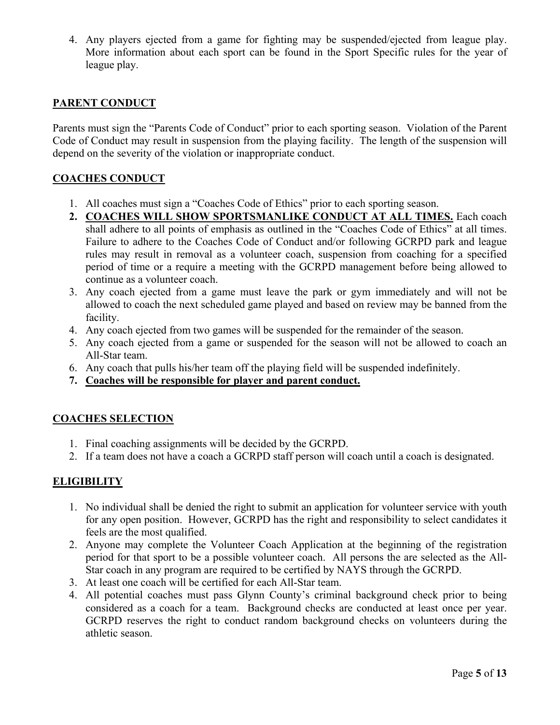4. Any players ejected from a game for fighting may be suspended/ejected from league play. More information about each sport can be found in the Sport Specific rules for the year of league play.

#### **PARENT CONDUCT**

Parents must sign the "Parents Code of Conduct" prior to each sporting season. Violation of the Parent Code of Conduct may result in suspension from the playing facility. The length of the suspension will depend on the severity of the violation or inappropriate conduct.

#### **COACHES CONDUCT**

- 1. All coaches must sign a "Coaches Code of Ethics" prior to each sporting season.
- **2. COACHES WILL SHOW SPORTSMANLIKE CONDUCT AT ALL TIMES.** Each coach shall adhere to all points of emphasis as outlined in the "Coaches Code of Ethics" at all times. Failure to adhere to the Coaches Code of Conduct and/or following GCRPD park and league rules may result in removal as a volunteer coach, suspension from coaching for a specified period of time or a require a meeting with the GCRPD management before being allowed to continue as a volunteer coach.
- 3. Any coach ejected from a game must leave the park or gym immediately and will not be allowed to coach the next scheduled game played and based on review may be banned from the facility.
- 4. Any coach ejected from two games will be suspended for the remainder of the season.
- 5. Any coach ejected from a game or suspended for the season will not be allowed to coach an All-Star team.
- 6. Any coach that pulls his/her team off the playing field will be suspended indefinitely.
- **7. Coaches will be responsible for player and parent conduct.**

#### **COACHES SELECTION**

- 1. Final coaching assignments will be decided by the GCRPD.
- 2. If a team does not have a coach a GCRPD staff person will coach until a coach is designated.

#### **ELIGIBILITY**

- 1. No individual shall be denied the right to submit an application for volunteer service with youth for any open position. However, GCRPD has the right and responsibility to select candidates it feels are the most qualified.
- 2. Anyone may complete the Volunteer Coach Application at the beginning of the registration period for that sport to be a possible volunteer coach. All persons the are selected as the All-Star coach in any program are required to be certified by NAYS through the GCRPD.
- 3. At least one coach will be certified for each All-Star team.
- 4. All potential coaches must pass Glynn County's criminal background check prior to being considered as a coach for a team. Background checks are conducted at least once per year. GCRPD reserves the right to conduct random background checks on volunteers during the athletic season.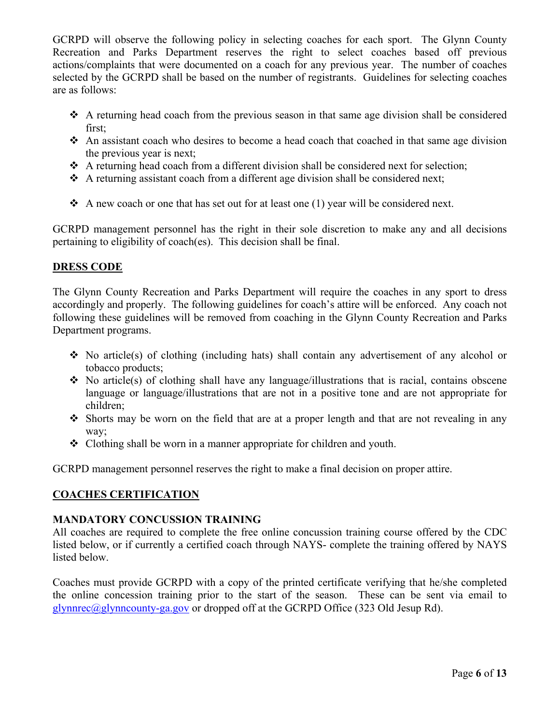GCRPD will observe the following policy in selecting coaches for each sport. The Glynn County Recreation and Parks Department reserves the right to select coaches based off previous actions/complaints that were documented on a coach for any previous year. The number of coaches selected by the GCRPD shall be based on the number of registrants. Guidelines for selecting coaches are as follows:

- $\triangle$  A returning head coach from the previous season in that same age division shall be considered first;
- $\cdot$  An assistant coach who desires to become a head coach that coached in that same age division the previous year is next;
- $\triangle$  A returning head coach from a different division shall be considered next for selection;
- $\triangle$  A returning assistant coach from a different age division shall be considered next;
- A new coach or one that has set out for at least one (1) year will be considered next.

GCRPD management personnel has the right in their sole discretion to make any and all decisions pertaining to eligibility of coach(es). This decision shall be final.

# **DRESS CODE**

The Glynn County Recreation and Parks Department will require the coaches in any sport to dress accordingly and properly. The following guidelines for coach's attire will be enforced. Any coach not following these guidelines will be removed from coaching in the Glynn County Recreation and Parks Department programs.

- $\div$  No article(s) of clothing (including hats) shall contain any advertisement of any alcohol or tobacco products;
- $\bullet$  No article(s) of clothing shall have any language/illustrations that is racial, contains obscene language or language/illustrations that are not in a positive tone and are not appropriate for children;
- $\cdot$  Shorts may be worn on the field that are at a proper length and that are not revealing in any way;
- $\triangle$  Clothing shall be worn in a manner appropriate for children and youth.

GCRPD management personnel reserves the right to make a final decision on proper attire.

# **COACHES CERTIFICATION**

### **MANDATORY CONCUSSION TRAINING**

All coaches are required to complete the free online concussion training course offered by the CDC listed below, or if currently a certified coach through NAYS- complete the training offered by NAYS listed below.

Coaches must provide GCRPD with a copy of the printed certificate verifying that he/she completed the online concession training prior to the start of the season. These can be sent via email to [glynnrec@glynncounty-ga.gov](mailto:glynnrec@glynncounty-ga.gov) or dropped off at the GCRPD Office (323 Old Jesup Rd).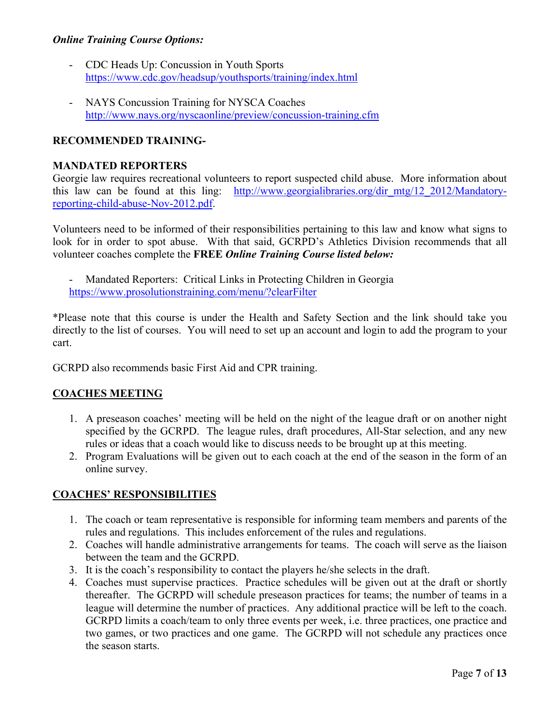#### *Online Training Course Options:*

- CDC Heads Up: Concussion in Youth Sports <https://www.cdc.gov/headsup/youthsports/training/index.html>
- NAYS Concussion Training for NYSCA Coaches <http://www.nays.org/nyscaonline/preview/concussion-training.cfm>

#### **RECOMMENDED TRAINING-**

#### **MANDATED REPORTERS**

Georgie law requires recreational volunteers to report suspected child abuse. More information about this law can be found at this ling: http://www.georgialibraries.org/dir mtg/12 2012/Mandatory[reporting-child-abuse-Nov-2012.pdf.](http://www.georgialibraries.org/dir_mtg/12_2012/Mandatory-reporting-child-abuse-Nov-2012.pdf)

Volunteers need to be informed of their responsibilities pertaining to this law and know what signs to look for in order to spot abuse. With that said, GCRPD's Athletics Division recommends that all volunteer coaches complete the **FREE** *Online Training Course listed below:*

- Mandated Reporters: Critical Links in Protecting Children in Georgia <https://www.prosolutionstraining.com/menu/?clearFilter>

\*Please note that this course is under the Health and Safety Section and the link should take you directly to the list of courses. You will need to set up an account and login to add the program to your cart.

GCRPD also recommends basic First Aid and CPR training.

### **COACHES MEETING**

- 1. A preseason coaches' meeting will be held on the night of the league draft or on another night specified by the GCRPD. The league rules, draft procedures, All-Star selection, and any new rules or ideas that a coach would like to discuss needs to be brought up at this meeting.
- 2. Program Evaluations will be given out to each coach at the end of the season in the form of an online survey.

### **COACHES' RESPONSIBILITIES**

- 1. The coach or team representative is responsible for informing team members and parents of the rules and regulations. This includes enforcement of the rules and regulations.
- 2. Coaches will handle administrative arrangements for teams. The coach will serve as the liaison between the team and the GCRPD.
- 3. It is the coach's responsibility to contact the players he/she selects in the draft.
- 4. Coaches must supervise practices. Practice schedules will be given out at the draft or shortly thereafter. The GCRPD will schedule preseason practices for teams; the number of teams in a league will determine the number of practices. Any additional practice will be left to the coach. GCRPD limits a coach/team to only three events per week, i.e. three practices, one practice and two games, or two practices and one game. The GCRPD will not schedule any practices once the season starts.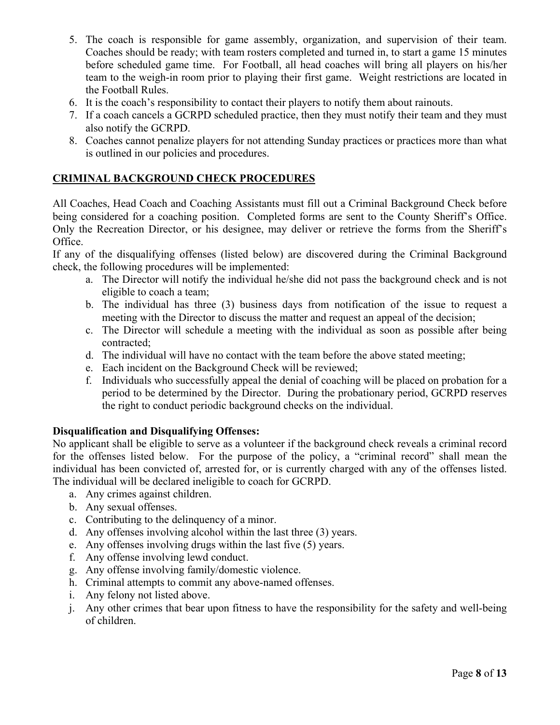- 5. The coach is responsible for game assembly, organization, and supervision of their team. Coaches should be ready; with team rosters completed and turned in, to start a game 15 minutes before scheduled game time. For Football, all head coaches will bring all players on his/her team to the weigh-in room prior to playing their first game. Weight restrictions are located in the Football Rules.
- 6. It is the coach's responsibility to contact their players to notify them about rainouts.
- 7. If a coach cancels a GCRPD scheduled practice, then they must notify their team and they must also notify the GCRPD.
- 8. Coaches cannot penalize players for not attending Sunday practices or practices more than what is outlined in our policies and procedures.

#### **CRIMINAL BACKGROUND CHECK PROCEDURES**

All Coaches, Head Coach and Coaching Assistants must fill out a Criminal Background Check before being considered for a coaching position. Completed forms are sent to the County Sheriff's Office. Only the Recreation Director, or his designee, may deliver or retrieve the forms from the Sheriff's Office.

If any of the disqualifying offenses (listed below) are discovered during the Criminal Background check, the following procedures will be implemented:

- a. The Director will notify the individual he/she did not pass the background check and is not eligible to coach a team;
- b. The individual has three (3) business days from notification of the issue to request a meeting with the Director to discuss the matter and request an appeal of the decision;
- c. The Director will schedule a meeting with the individual as soon as possible after being contracted;
- d. The individual will have no contact with the team before the above stated meeting;
- e. Each incident on the Background Check will be reviewed;
- f. Individuals who successfully appeal the denial of coaching will be placed on probation for a period to be determined by the Director. During the probationary period, GCRPD reserves the right to conduct periodic background checks on the individual.

#### **Disqualification and Disqualifying Offenses:**

No applicant shall be eligible to serve as a volunteer if the background check reveals a criminal record for the offenses listed below. For the purpose of the policy, a "criminal record" shall mean the individual has been convicted of, arrested for, or is currently charged with any of the offenses listed. The individual will be declared ineligible to coach for GCRPD.

- a. Any crimes against children.
- b. Any sexual offenses.
- c. Contributing to the delinquency of a minor.
- d. Any offenses involving alcohol within the last three (3) years.
- e. Any offenses involving drugs within the last five (5) years.
- f. Any offense involving lewd conduct.
- g. Any offense involving family/domestic violence.
- h. Criminal attempts to commit any above-named offenses.
- i. Any felony not listed above.
- j. Any other crimes that bear upon fitness to have the responsibility for the safety and well-being of children.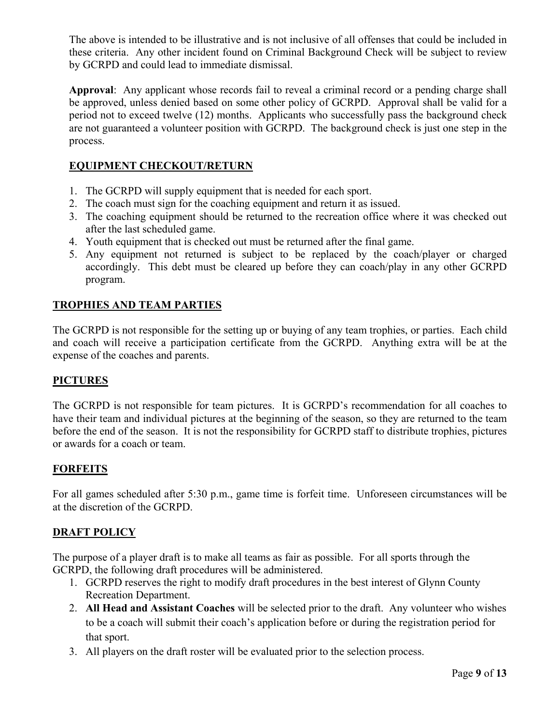The above is intended to be illustrative and is not inclusive of all offenses that could be included in these criteria. Any other incident found on Criminal Background Check will be subject to review by GCRPD and could lead to immediate dismissal.

**Approval**: Any applicant whose records fail to reveal a criminal record or a pending charge shall be approved, unless denied based on some other policy of GCRPD. Approval shall be valid for a period not to exceed twelve (12) months. Applicants who successfully pass the background check are not guaranteed a volunteer position with GCRPD. The background check is just one step in the process.

# **EQUIPMENT CHECKOUT/RETURN**

- 1. The GCRPD will supply equipment that is needed for each sport.
- 2. The coach must sign for the coaching equipment and return it as issued.
- 3. The coaching equipment should be returned to the recreation office where it was checked out after the last scheduled game.
- 4. Youth equipment that is checked out must be returned after the final game.
- 5. Any equipment not returned is subject to be replaced by the coach/player or charged accordingly. This debt must be cleared up before they can coach/play in any other GCRPD program.

### **TROPHIES AND TEAM PARTIES**

The GCRPD is not responsible for the setting up or buying of any team trophies, or parties. Each child and coach will receive a participation certificate from the GCRPD. Anything extra will be at the expense of the coaches and parents.

#### **PICTURES**

The GCRPD is not responsible for team pictures. It is GCRPD's recommendation for all coaches to have their team and individual pictures at the beginning of the season, so they are returned to the team before the end of the season. It is not the responsibility for GCRPD staff to distribute trophies, pictures or awards for a coach or team.

### **FORFEITS**

For all games scheduled after 5:30 p.m., game time is forfeit time. Unforeseen circumstances will be at the discretion of the GCRPD.

### **DRAFT POLICY**

The purpose of a player draft is to make all teams as fair as possible. For all sports through the GCRPD, the following draft procedures will be administered.

- 1. GCRPD reserves the right to modify draft procedures in the best interest of Glynn County Recreation Department.
- 2. **All Head and Assistant Coaches** will be selected prior to the draft. Any volunteer who wishes to be a coach will submit their coach's application before or during the registration period for that sport.
- 3. All players on the draft roster will be evaluated prior to the selection process.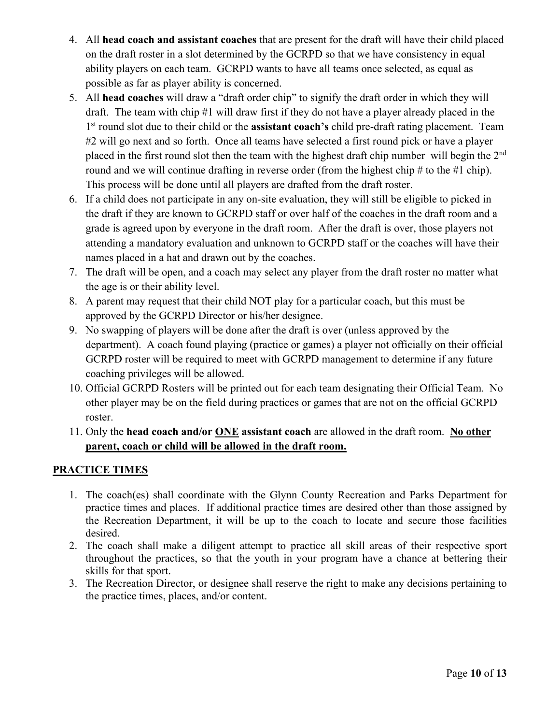- 4. All **head coach and assistant coaches** that are present for the draft will have their child placed on the draft roster in a slot determined by the GCRPD so that we have consistency in equal ability players on each team. GCRPD wants to have all teams once selected, as equal as possible as far as player ability is concerned.
- 5. All **head coaches** will draw a "draft order chip" to signify the draft order in which they will draft. The team with chip #1 will draw first if they do not have a player already placed in the 1st round slot due to their child or the **assistant coach's** child pre-draft rating placement. Team #2 will go next and so forth. Once all teams have selected a first round pick or have a player placed in the first round slot then the team with the highest draft chip number will begin the 2<sup>nd</sup> round and we will continue drafting in reverse order (from the highest chip  $\#$  to the  $\#$ 1 chip). This process will be done until all players are drafted from the draft roster.
- 6. If a child does not participate in any on-site evaluation, they will still be eligible to picked in the draft if they are known to GCRPD staff or over half of the coaches in the draft room and a grade is agreed upon by everyone in the draft room. After the draft is over, those players not attending a mandatory evaluation and unknown to GCRPD staff or the coaches will have their names placed in a hat and drawn out by the coaches.
- 7. The draft will be open, and a coach may select any player from the draft roster no matter what the age is or their ability level.
- 8. A parent may request that their child NOT play for a particular coach, but this must be approved by the GCRPD Director or his/her designee.
- 9. No swapping of players will be done after the draft is over (unless approved by the department). A coach found playing (practice or games) a player not officially on their official GCRPD roster will be required to meet with GCRPD management to determine if any future coaching privileges will be allowed.
- 10. Official GCRPD Rosters will be printed out for each team designating their Official Team. No other player may be on the field during practices or games that are not on the official GCRPD roster.
- 11. Only the **head coach and/or ONE assistant coach** are allowed in the draft room. **No other parent, coach or child will be allowed in the draft room.**

### **PRACTICE TIMES**

- 1. The coach(es) shall coordinate with the Glynn County Recreation and Parks Department for practice times and places. If additional practice times are desired other than those assigned by the Recreation Department, it will be up to the coach to locate and secure those facilities desired.
- 2. The coach shall make a diligent attempt to practice all skill areas of their respective sport throughout the practices, so that the youth in your program have a chance at bettering their skills for that sport.
- 3. The Recreation Director, or designee shall reserve the right to make any decisions pertaining to the practice times, places, and/or content.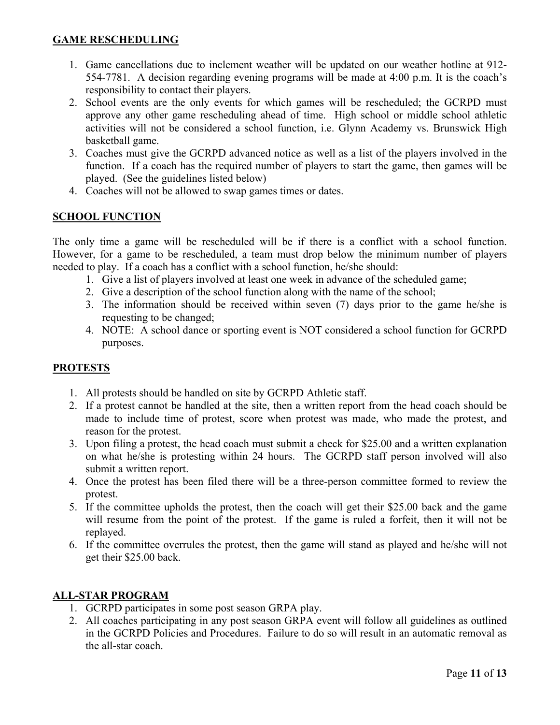### **GAME RESCHEDULING**

- 1. Game cancellations due to inclement weather will be updated on our weather hotline at 912- 554-7781. A decision regarding evening programs will be made at 4:00 p.m. It is the coach's responsibility to contact their players.
- 2. School events are the only events for which games will be rescheduled; the GCRPD must approve any other game rescheduling ahead of time. High school or middle school athletic activities will not be considered a school function, i.e. Glynn Academy vs. Brunswick High basketball game.
- 3. Coaches must give the GCRPD advanced notice as well as a list of the players involved in the function. If a coach has the required number of players to start the game, then games will be played. (See the guidelines listed below)
- 4. Coaches will not be allowed to swap games times or dates.

### **SCHOOL FUNCTION**

The only time a game will be rescheduled will be if there is a conflict with a school function. However, for a game to be rescheduled, a team must drop below the minimum number of players needed to play. If a coach has a conflict with a school function, he/she should:

- 1. Give a list of players involved at least one week in advance of the scheduled game;
- 2. Give a description of the school function along with the name of the school;
- 3. The information should be received within seven (7) days prior to the game he/she is requesting to be changed;
- 4. NOTE: A school dance or sporting event is NOT considered a school function for GCRPD purposes.

### **PROTESTS**

- 1. All protests should be handled on site by GCRPD Athletic staff.
- 2. If a protest cannot be handled at the site, then a written report from the head coach should be made to include time of protest, score when protest was made, who made the protest, and reason for the protest.
- 3. Upon filing a protest, the head coach must submit a check for \$25.00 and a written explanation on what he/she is protesting within 24 hours. The GCRPD staff person involved will also submit a written report.
- 4. Once the protest has been filed there will be a three-person committee formed to review the protest.
- 5. If the committee upholds the protest, then the coach will get their \$25.00 back and the game will resume from the point of the protest. If the game is ruled a forfeit, then it will not be replayed.
- 6. If the committee overrules the protest, then the game will stand as played and he/she will not get their \$25.00 back.

### **ALL-STAR PROGRAM**

- 1. GCRPD participates in some post season GRPA play.
- 2. All coaches participating in any post season GRPA event will follow all guidelines as outlined in the GCRPD Policies and Procedures. Failure to do so will result in an automatic removal as the all-star coach.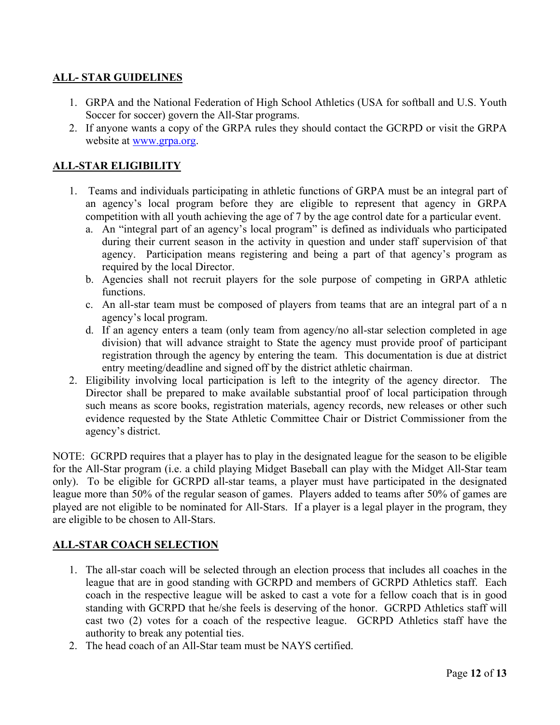# **ALL- STAR GUIDELINES**

- 1. GRPA and the National Federation of High School Athletics (USA for softball and U.S. Youth Soccer for soccer) govern the All-Star programs.
- 2. If anyone wants a copy of the GRPA rules they should contact the GCRPD or visit the GRPA website at [www.grpa.org.](http://www.grpa.org/)

# **ALL-STAR ELIGIBILITY**

- 1. Teams and individuals participating in athletic functions of GRPA must be an integral part of an agency's local program before they are eligible to represent that agency in GRPA competition with all youth achieving the age of 7 by the age control date for a particular event.
	- a. An "integral part of an agency's local program" is defined as individuals who participated during their current season in the activity in question and under staff supervision of that agency. Participation means registering and being a part of that agency's program as required by the local Director.
	- b. Agencies shall not recruit players for the sole purpose of competing in GRPA athletic functions.
	- c. An all-star team must be composed of players from teams that are an integral part of a n agency's local program.
	- d. If an agency enters a team (only team from agency/no all-star selection completed in age division) that will advance straight to State the agency must provide proof of participant registration through the agency by entering the team. This documentation is due at district entry meeting/deadline and signed off by the district athletic chairman.
- 2. Eligibility involving local participation is left to the integrity of the agency director. The Director shall be prepared to make available substantial proof of local participation through such means as score books, registration materials, agency records, new releases or other such evidence requested by the State Athletic Committee Chair or District Commissioner from the agency's district.

NOTE: GCRPD requires that a player has to play in the designated league for the season to be eligible for the All-Star program (i.e. a child playing Midget Baseball can play with the Midget All-Star team only). To be eligible for GCRPD all-star teams, a player must have participated in the designated league more than 50% of the regular season of games. Players added to teams after 50% of games are played are not eligible to be nominated for All-Stars. If a player is a legal player in the program, they are eligible to be chosen to All-Stars.

### **ALL-STAR COACH SELECTION**

- 1. The all-star coach will be selected through an election process that includes all coaches in the league that are in good standing with GCRPD and members of GCRPD Athletics staff. Each coach in the respective league will be asked to cast a vote for a fellow coach that is in good standing with GCRPD that he/she feels is deserving of the honor. GCRPD Athletics staff will cast two (2) votes for a coach of the respective league. GCRPD Athletics staff have the authority to break any potential ties.
- 2. The head coach of an All-Star team must be NAYS certified.